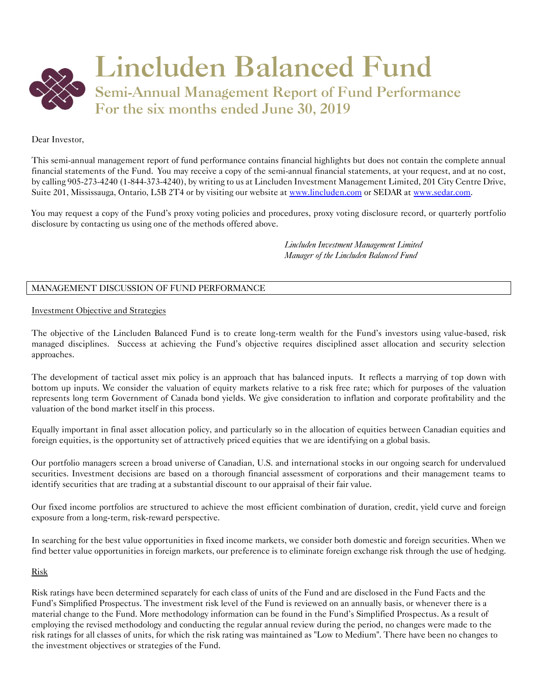

# Dear Investor,

This semi-annual management report of fund performance contains financial highlights but does not contain the complete annual financial statements of the Fund. You may receive a copy of the semi-annual financial statements, at your request, and at no cost, by calling 905-273-4240 (1-844-373-4240), by writing to us at Lincluden Investment Management Limited, 201 City Centre Drive, Suite 201, Mississauga, Ontario, L5B 2T4 or by visiting our website a[t www.lincluden.com](http://www.lincluden.com/) or SEDAR a[t www.sedar.com.](http://www.sedar.com/)

You may request a copy of the Fund's proxy voting policies and procedures, proxy voting disclosure record, or quarterly portfolio disclosure by contacting us using one of the methods offered above.

> *Lincluden Investment Management Limited Manager of the Lincluden Balanced Fund*

# MANAGEMENT DISCUSSION OF FUND PERFORMANCE

## Investment Objective and Strategies

The objective of the Lincluden Balanced Fund is to create long-term wealth for the Fund's investors using value-based, risk managed disciplines. Success at achieving the Fund's objective requires disciplined asset allocation and security selection approaches.

The development of tactical asset mix policy is an approach that has balanced inputs. It reflects a marrying of top down with bottom up inputs. We consider the valuation of equity markets relative to a risk free rate; which for purposes of the valuation represents long term Government of Canada bond yields. We give consideration to inflation and corporate profitability and the valuation of the bond market itself in this process.

Equally important in final asset allocation policy, and particularly so in the allocation of equities between Canadian equities and foreign equities, is the opportunity set of attractively priced equities that we are identifying on a global basis.

Our portfolio managers screen a broad universe of Canadian, U.S. and international stocks in our ongoing search for undervalued securities. Investment decisions are based on a thorough financial assessment of corporations and their management teams to identify securities that are trading at a substantial discount to our appraisal of their fair value.

Our fixed income portfolios are structured to achieve the most efficient combination of duration, credit, yield curve and foreign exposure from a long-term, risk-reward perspective.

In searching for the best value opportunities in fixed income markets, we consider both domestic and foreign securities. When we find better value opportunities in foreign markets, our preference is to eliminate foreign exchange risk through the use of hedging.

## Risk

Risk ratings have been determined separately for each class of units of the Fund and are disclosed in the Fund Facts and the Fund's Simplified Prospectus. The investment risk level of the Fund is reviewed on an annually basis, or whenever there is a material change to the Fund. More methodology information can be found in the Fund's Simplified Prospectus. As a result of employing the revised methodology and conducting the regular annual review during the period, no changes were made to the risk ratings for all classes of units, for which the risk rating was maintained as "Low to Medium". There have been no changes to the investment objectives or strategies of the Fund.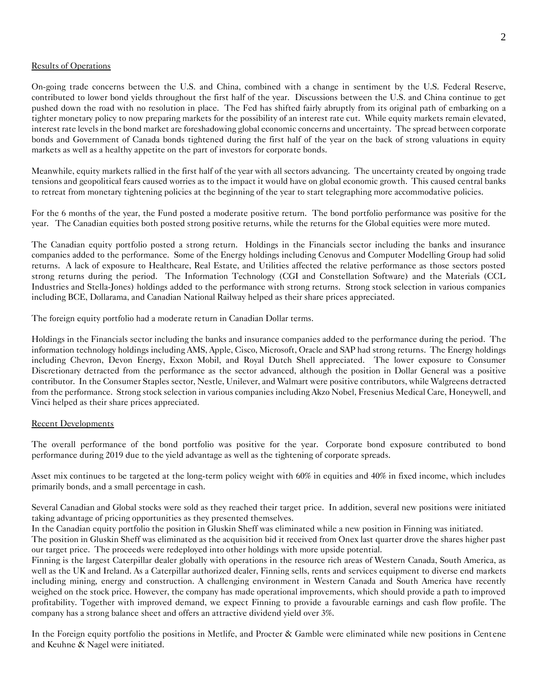#### Results of Operations

On-going trade concerns between the U.S. and China, combined with a change in sentiment by the U.S. Federal Reserve, contributed to lower bond yields throughout the first half of the year. Discussions between the U.S. and China continue to get pushed down the road with no resolution in place. The Fed has shifted fairly abruptly from its original path of embarking on a tighter monetary policy to now preparing markets for the possibility of an interest rate cut. While equity markets remain elevated, interest rate levels in the bond market are foreshadowing global economic concerns and uncertainty. The spread between corporate bonds and Government of Canada bonds tightened during the first half of the year on the back of strong valuations in equity markets as well as a healthy appetite on the part of investors for corporate bonds.

Meanwhile, equity markets rallied in the first half of the year with all sectors advancing. The uncertainty created by ongoing trade tensions and geopolitical fears caused worries as to the impact it would have on global economic growth. This caused central banks to retreat from monetary tightening policies at the beginning of the year to start telegraphing more accommodative policies.

For the 6 months of the year, the Fund posted a moderate positive return. The bond portfolio performance was positive for the year. The Canadian equities both posted strong positive returns, while the returns for the Global equities were more muted.

The Canadian equity portfolio posted a strong return. Holdings in the Financials sector including the banks and insurance companies added to the performance. Some of the Energy holdings including Cenovus and Computer Modelling Group had solid returns. A lack of exposure to Healthcare, Real Estate, and Utilities affected the relative performance as those sectors posted strong returns during the period. The Information Technology (CGI and Constellation Software) and the Materials (CCL Industries and Stella-Jones) holdings added to the performance with strong returns. Strong stock selection in various companies including BCE, Dollarama, and Canadian National Railway helped as their share prices appreciated.

The foreign equity portfolio had a moderate return in Canadian Dollar terms.

Holdings in the Financials sector including the banks and insurance companies added to the performance during the period. The information technology holdings including AMS, Apple, Cisco, Microsoft, Oracle and SAP had strong returns. The Energy holdings including Chevron, Devon Energy, Exxon Mobil, and Royal Dutch Shell appreciated. The lower exposure to Consumer Discretionary detracted from the performance as the sector advanced, although the position in Dollar General was a positive contributor. In the Consumer Staples sector, Nestle, Unilever, and Walmart were positive contributors, while Walgreens detracted from the performance. Strong stock selection in various companies including Akzo Nobel, Fresenius Medical Care, Honeywell, and Vinci helped as their share prices appreciated.

#### Recent Developments

The overall performance of the bond portfolio was positive for the year. Corporate bond exposure contributed to bond performance during 2019 due to the yield advantage as well as the tightening of corporate spreads.

Asset mix continues to be targeted at the long-term policy weight with 60% in equities and 40% in fixed income, which includes primarily bonds, and a small percentage in cash.

Several Canadian and Global stocks were sold as they reached their target price. In addition, several new positions were initiated taking advantage of pricing opportunities as they presented themselves.

In the Canadian equity portfolio the position in Gluskin Sheff was eliminated while a new position in Finning was initiated.

The position in Gluskin Sheff was eliminated as the acquisition bid it received from Onex last quarter drove the shares higher past our target price. The proceeds were redeployed into other holdings with more upside potential.

Finning is the largest Caterpillar dealer globally with operations in the resource rich areas of Western Canada, South America, as well as the UK and Ireland. As a Caterpillar authorized dealer, Finning sells, rents and services equipment to diverse end markets including mining, energy and construction. A challenging environment in Western Canada and South America have recently weighed on the stock price. However, the company has made operational improvements, which should provide a path to improved profitability. Together with improved demand, we expect Finning to provide a favourable earnings and cash flow profile. The company has a strong balance sheet and offers an attractive dividend yield over 3%.

In the Foreign equity portfolio the positions in Metlife, and Procter & Gamble were eliminated while new positions in Centene and Keuhne & Nagel were initiated.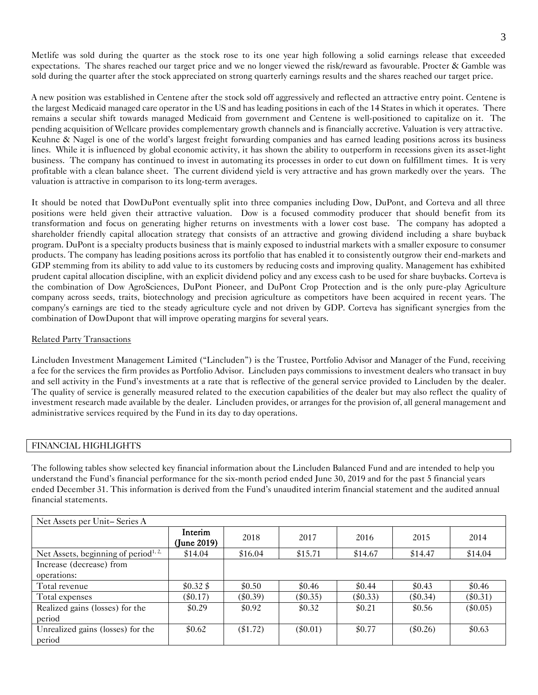Metlife was sold during the quarter as the stock rose to its one year high following a solid earnings release that exceeded expectations. The shares reached our target price and we no longer viewed the risk/reward as favourable. Procter & Gamble was sold during the quarter after the stock appreciated on strong quarterly earnings results and the shares reached our target price.

A new position was established in Centene after the stock sold off aggressively and reflected an attractive entry point. Centene is the largest Medicaid managed care operator in the US and has leading positions in each of the 14 States in which it operates. There remains a secular shift towards managed Medicaid from government and Centene is well-positioned to capitalize on it. The pending acquisition of Wellcare provides complementary growth channels and is financially accretive. Valuation is very attractive. Keuhne & Nagel is one of the world's largest freight forwarding companies and has earned leading positions across its business lines. While it is influenced by global economic activity, it has shown the ability to outperform in recessions given its asset-light business. The company has continued to invest in automating its processes in order to cut down on fulfillment times. It is very profitable with a clean balance sheet. The current dividend yield is very attractive and has grown markedly over the years. The valuation is attractive in comparison to its long-term averages.

It should be noted that DowDuPont eventually split into three companies including Dow, DuPont, and Corteva and all three positions were held given their attractive valuation. Dow is a focused commodity producer that should benefit from its transformation and focus on generating higher returns on investments with a lower cost base. The company has adopted a shareholder friendly capital allocation strategy that consists of an attractive and growing dividend including a share buyback program. DuPont is a specialty products business that is mainly exposed to industrial markets with a smaller exposure to consumer products. The company has leading positions across its portfolio that has enabled it to consistently outgrow their end-markets and GDP stemming from its ability to add value to its customers by reducing costs and improving quality. Management has exhibited prudent capital allocation discipline, with an explicit dividend policy and any excess cash to be used for share buybacks. Corteva is the combination of Dow AgroSciences, DuPont Pioneer, and DuPont Crop Protection and is the only pure-play Agriculture company across seeds, traits, biotechnology and precision agriculture as competitors have been acquired in recent years. The company's earnings are tied to the steady agriculture cycle and not driven by GDP. Corteva has significant synergies from the combination of DowDupont that will improve operating margins for several years.

# Related Party Transactions

Lincluden Investment Management Limited ("Lincluden") is the Trustee, Portfolio Advisor and Manager of the Fund, receiving a fee for the services the firm provides as Portfolio Advisor. Lincluden pays commissions to investment dealers who transact in buy and sell activity in the Fund's investments at a rate that is reflective of the general service provided to Lincluden by the dealer. The quality of service is generally measured related to the execution capabilities of the dealer but may also reflect the quality of investment research made available by the dealer. Lincluden provides, or arranges for the provision of, all general management and administrative services required by the Fund in its day to day operations.

## FINANCIAL HIGHLIGHTS

The following tables show selected key financial information about the Lincluden Balanced Fund and are intended to help you understand the Fund's financial performance for the six-month period ended June 30, 2019 and for the past 5 financial years ended December 31. This information is derived from the Fund's unaudited interim financial statement and the audited annual financial statements.

| Net Assets per Unit-Series A                     |                        |            |            |            |            |            |
|--------------------------------------------------|------------------------|------------|------------|------------|------------|------------|
|                                                  | Interim<br>(June 2019) | 2018       | 2017       | 2016       | 2015       | 2014       |
| Net Assets, beginning of period <sup>1, 2,</sup> | \$14.04                | \$16.04    | \$15.71    | \$14.67    | \$14.47    | \$14.04    |
| Increase (decrease) from                         |                        |            |            |            |            |            |
| operations:                                      |                        |            |            |            |            |            |
| Total revenue                                    | \$0.32\$               | \$0.50     | \$0.46     | \$0.44     | \$0.43     | \$0.46     |
| Total expenses                                   | $(\$0.17)$             | $(\$0.39)$ | $(\$0.35)$ | $(\$0.33)$ | $(\$0.34)$ | $(\$0.31)$ |
| Realized gains (losses) for the                  | \$0.29                 | \$0.92     | \$0.32     | \$0.21     | \$0.56     | $(\$0.05)$ |
| period                                           |                        |            |            |            |            |            |
| Unrealized gains (losses) for the                | \$0.62                 | $(\$1.72)$ | $(\$0.01)$ | \$0.77     | $(\$0.26)$ | \$0.63     |
| period                                           |                        |            |            |            |            |            |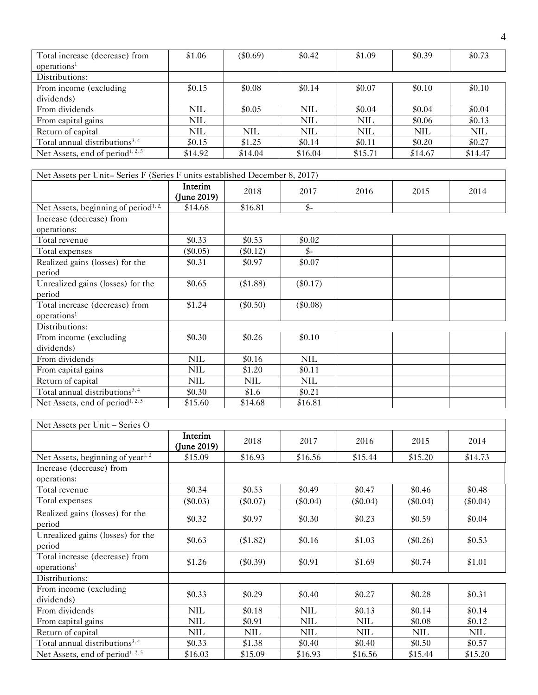| Total increase (decrease) from<br>operations <sup>1</sup> | \$1.06     | $(\$0.69)$ | \$0.42     | \$1.09     | \$0.39     | \$0.73     |
|-----------------------------------------------------------|------------|------------|------------|------------|------------|------------|
| Distributions:                                            |            |            |            |            |            |            |
| From income (excluding)<br>dividends)                     | \$0.15     | \$0.08     | \$0.14     | \$0.07     | \$0.10     | \$0.10     |
| From dividends                                            | NIL.       | \$0.05     | NIL        | \$0.04     | \$0.04     | \$0.04     |
| From capital gains                                        | <b>NIL</b> |            | <b>NIL</b> | <b>NIL</b> | \$0.06     | \$0.13     |
| Return of capital                                         | <b>NIL</b> | <b>NIL</b> | <b>NIL</b> | <b>NIL</b> | <b>NIL</b> | <b>NIL</b> |
| Total annual distributions <sup>3,4</sup>                 | \$0.15     | \$1.25     | \$0.14     | \$0.11     | \$0.20     | \$0.27     |
| Net Assets, end of period <sup>1, 2, 5</sup>              | \$14.92    | \$14.04    | \$16.04    | \$15.71    | \$14.67    | \$14.47    |

| Net Assets per Unit-Series F (Series F units established December 8, 2017) |                        |            |            |      |      |      |  |
|----------------------------------------------------------------------------|------------------------|------------|------------|------|------|------|--|
|                                                                            | Interim<br>(June 2019) | 2018       | 2017       | 2016 | 2015 | 2014 |  |
| Net Assets, beginning of period <sup>1, 2,</sup>                           | \$14.68                | \$16.81    | \$-        |      |      |      |  |
| Increase (decrease) from<br>operations:                                    |                        |            |            |      |      |      |  |
| Total revenue                                                              | \$0.33                 | \$0.53     | \$0.02     |      |      |      |  |
| Total expenses                                                             | $(\$0.05)$             | $(\$0.12)$ | \$-        |      |      |      |  |
| Realized gains (losses) for the<br>period                                  | \$0.31                 | \$0.97     | \$0.07     |      |      |      |  |
| Unrealized gains (losses) for the<br>period                                | \$0.65                 | (\$1.88)   | $(\$0.17)$ |      |      |      |  |
| Total increase (decrease) from<br>operations <sup>1</sup>                  | \$1.24                 | $(\$0.50)$ | $(\$0.08)$ |      |      |      |  |
| Distributions:                                                             |                        |            |            |      |      |      |  |
| From income (excluding                                                     | \$0.30                 | \$0.26     | \$0.10     |      |      |      |  |
| dividends)                                                                 |                        |            |            |      |      |      |  |
| From dividends                                                             | <b>NIL</b>             | \$0.16     | <b>NIL</b> |      |      |      |  |
| From capital gains                                                         | <b>NIL</b>             | \$1.20     | \$0.11     |      |      |      |  |
| Return of capital                                                          | <b>NIL</b>             | <b>NIL</b> | <b>NIL</b> |      |      |      |  |
| Total annual distributions <sup>3, 4</sup>                                 | \$0.30                 | \$1.6      | \$0.21     |      |      |      |  |
| Net Assets, end of period <sup>1, 2, 5</sup>                               | \$15.60                | \$14.68    | \$16.81    |      |      |      |  |

| Net Assets per Unit – Series O                            |                        |            |            |            |            |            |  |
|-----------------------------------------------------------|------------------------|------------|------------|------------|------------|------------|--|
|                                                           | Interim<br>(June 2019) | 2018       | 2017       | 2016       | 2015       | 2014       |  |
| Net Assets, beginning of year <sup>1, 2</sup>             | \$15.09                | \$16.93    | \$16.56    | \$15.44    | \$15.20    | \$14.73    |  |
| Increase (decrease) from<br>operations:                   |                        |            |            |            |            |            |  |
| Total revenue                                             | \$0.34                 | \$0.53     | \$0.49     | \$0.47     | \$0.46     | \$0.48     |  |
| Total expenses                                            | $(\$0.03)$             | $(\$0.07)$ | $(\$0.04)$ | $(\$0.04)$ | $(\$0.04)$ | $(\$0.04)$ |  |
| Realized gains (losses) for the<br>period                 | \$0.32                 | \$0.97     | \$0.30     | \$0.23     | \$0.59     | \$0.04     |  |
| Unrealized gains (losses) for the<br>period               | \$0.63                 | $(\$1.82)$ | \$0.16     | \$1.03     | $(\$0.26)$ | \$0.53     |  |
| Total increase (decrease) from<br>operations <sup>1</sup> | \$1.26                 | $(\$0.39)$ | \$0.91     | \$1.69     | \$0.74     | \$1.01     |  |
| Distributions:                                            |                        |            |            |            |            |            |  |
| From income (excluding)<br>dividends)                     | \$0.33                 | \$0.29     | \$0.40     | \$0.27     | \$0.28     | \$0.31     |  |
| From dividends                                            | <b>NIL</b>             | \$0.18     | <b>NIL</b> | \$0.13     | \$0.14     | \$0.14     |  |
| From capital gains                                        | NIL                    | \$0.91     | <b>NIL</b> | <b>NIL</b> | \$0.08     | \$0.12     |  |
| Return of capital                                         | NIL                    | <b>NIL</b> | <b>NIL</b> | <b>NIL</b> | <b>NIL</b> | <b>NIL</b> |  |
| Total annual distributions <sup>3, 4</sup>                | \$0.33                 | \$1.38     | \$0.40     | \$0.40     | \$0.50     | \$0.57     |  |
| Net Assets, end of period <sup>1, 2, 5</sup>              | \$16.03                | \$15.09    | \$16.93    | \$16.56    | \$15.44    | \$15.20    |  |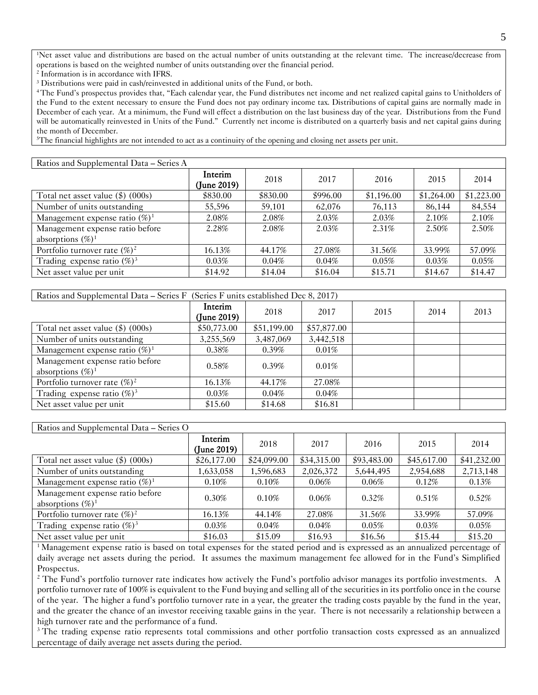<sup>1</sup>Net asset value and distributions are based on the actual number of units outstanding at the relevant time. The increase/decrease from operations is based on the weighted number of units outstanding over the financial period.

2 Information is in accordance with IFRS.

<sup>3</sup> Distributions were paid in cash/reinvested in additional units of the Fund, or both.

<sup>4</sup>The Fund's prospectus provides that, "Each calendar year, the Fund distributes net income and net realized capital gains to Unitholders of the Fund to the extent necessary to ensure the Fund does not pay ordinary income tax. Distributions of capital gains are normally made in December of each year. At a minimum, the Fund will effect a distribution on the last business day of the year. Distributions from the Fund will be automatically reinvested in Units of the Fund." Currently net income is distributed on a quarterly basis and net capital gains during the month of December.

<sup>5</sup>The financial highlights are not intended to act as a continuity of the opening and closing net assets per unit.

| Ratios and Supplemental Data - Series A                 |                        |          |          |            |            |            |
|---------------------------------------------------------|------------------------|----------|----------|------------|------------|------------|
|                                                         | Interim<br>(June 2019) | 2018     | 2017     | 2016       | 2015       | 2014       |
| Total net asset value $(\$)$ (000s)                     | \$830.00               | \$830.00 | \$996.00 | \$1,196.00 | \$1,264.00 | \$1,223.00 |
| Number of units outstanding                             | 55,596                 | 59,101   | 62,076   | 76,113     | 86,144     | 84,554     |
| Management expense ratio $(\%)^1$                       | 2.08%                  | 2.08%    | 2.03%    | 2.03%      | 2.10%      | 2.10%      |
| Management expense ratio before<br>absorptions $(\%)^1$ | 2.28%                  | 2.08%    | 2.03%    | $2.31\%$   | 2.50%      | 2.50%      |
| Portfolio turnover rate $(\%)^2$                        | 16.13%                 | 44.17%   | 27.08%   | 31.56%     | 33.99%     | 57.09%     |
| Trading expense ratio $(\%)^3$                          | 0.03%                  | 0.04%    | 0.04%    | 0.05%      | 0.03%      | 0.05%      |
| Net asset value per unit                                | \$14.92                | \$14.04  | \$16.04  | \$15.71    | \$14.67    | \$14.47    |

| Ratios and Supplemental Data – Series F (Series F units established Dec 8, 2017) |                        |             |             |      |      |      |
|----------------------------------------------------------------------------------|------------------------|-------------|-------------|------|------|------|
|                                                                                  | Interim<br>(June 2019) | 2018        | 2017        | 2015 | 2014 | 2013 |
| Total net asset value $(\$)$ (000s)                                              | \$50,773.00            | \$51,199.00 | \$57,877.00 |      |      |      |
| Number of units outstanding                                                      | 3,255,569              | 3,487,069   | 3,442,518   |      |      |      |
| Management expense ratio $(\%)^1$                                                | $0.38\%$               | $0.39\%$    | $0.01\%$    |      |      |      |
| Management expense ratio before<br>absorptions $(\%)^1$                          | $0.58\%$               | $0.39\%$    | $0.01\%$    |      |      |      |
| Portfolio turnover rate $(\%)^2$                                                 | 16.13%                 | 44.17%      | 27.08%      |      |      |      |
| Trading expense ratio $(\%)^3$                                                   | 0.03%                  | 0.04%       | 0.04%       |      |      |      |
| Net asset value per unit                                                         | \$15.60                | \$14.68     | \$16.81     |      |      |      |

| Ratios and Supplemental Data – Series O                 |                        |             |             |             |             |             |
|---------------------------------------------------------|------------------------|-------------|-------------|-------------|-------------|-------------|
|                                                         | Interim<br>(June 2019) | 2018        | 2017        | 2016        | 2015        | 2014        |
| Total net asset value $(\$)$ (000s)                     | \$26,177.00            | \$24,099.00 | \$34,315.00 | \$93,483.00 | \$45,617.00 | \$41,232.00 |
| Number of units outstanding                             | 1,633,058              | 1,596,683   | 2,026,372   | 5,644,495   | 2,954,688   | 2,713,148   |
| Management expense ratio $(\%)^1$                       | $0.10\%$               | $0.10\%$    | $0.06\%$    | 0.06%       | 0.12%       | 0.13%       |
| Management expense ratio before<br>absorptions $(\%)^1$ | $0.30\%$               | 0.10%       | 0.06%       | $0.32\%$    | 0.51%       | $0.52\%$    |
| Portfolio turnover rate $(\%)^2$                        | 16.13%                 | 44.14%      | 27.08%      | 31.56%      | 33.99%      | 57.09%      |
| Trading expense ratio $(\%)^3$                          | 0.03%                  | 0.04%       | 0.04%       | 0.05%       | 0.03%       | 0.05%       |
| Net asset value per unit                                | \$16.03                | \$15.09     | \$16.93     | \$16.56     | \$15.44     | \$15.20     |

<sup>1</sup>Management expense ratio is based on total expenses for the stated period and is expressed as an annualized percentage of daily average net assets during the period. It assumes the maximum management fee allowed for in the Fund's Simplified Prospectus.

<sup>2</sup> The Fund's portfolio turnover rate indicates how actively the Fund's portfolio advisor manages its portfolio investments. A portfolio turnover rate of 100% is equivalent to the Fund buying and selling all of the securities in its portfolio once in the course of the year. The higher a fund's portfolio turnover rate in a year, the greater the trading costs payable by the fund in the year, and the greater the chance of an investor receiving taxable gains in the year. There is not necessarily a relationship between a high turnover rate and the performance of a fund.

<sup>3</sup> The trading expense ratio represents total commissions and other portfolio transaction costs expressed as an annualized percentage of daily average net assets during the period.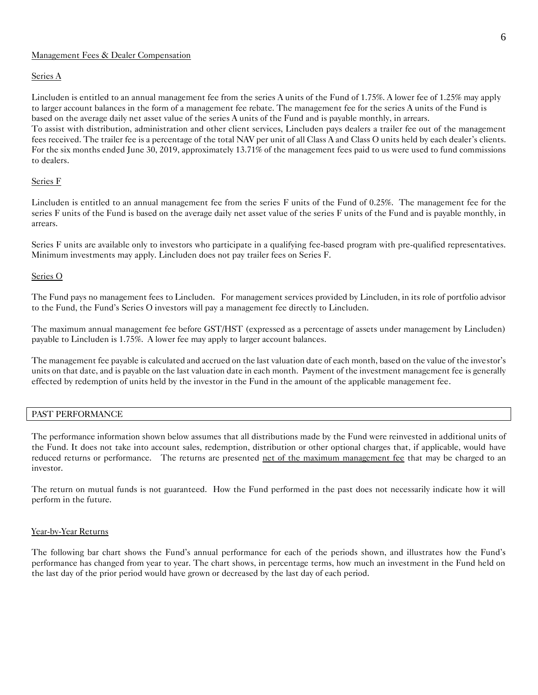## Management Fees & Dealer Compensation

#### Series A

Lincluden is entitled to an annual management fee from the series A units of the Fund of 1.75%. A lower fee of 1.25% may apply to larger account balances in the form of a management fee rebate. The management fee for the series A units of the Fund is based on the average daily net asset value of the series A units of the Fund and is payable monthly, in arrears.

To assist with distribution, administration and other client services, Lincluden pays dealers a trailer fee out of the management fees received. The trailer fee is a percentage of the total NAV per unit of all Class A and Class O units held by each dealer's clients. For the six months ended June 30, 2019, approximately 13.71% of the management fees paid to us were used to fund commissions to dealers.

## Series F

Lincluden is entitled to an annual management fee from the series F units of the Fund of 0.25%. The management fee for the series F units of the Fund is based on the average daily net asset value of the series F units of the Fund and is payable monthly, in arrears.

Series F units are available only to investors who participate in a qualifying fee-based program with pre-qualified representatives. Minimum investments may apply. Lincluden does not pay trailer fees on Series F.

#### Series O

The Fund pays no management fees to Lincluden. For management services provided by Lincluden, in its role of portfolio advisor to the Fund, the Fund's Series O investors will pay a management fee directly to Lincluden.

The maximum annual management fee before GST/HST (expressed as a percentage of assets under management by Lincluden) payable to Lincluden is 1.75%. A lower fee may apply to larger account balances.

The management fee payable is calculated and accrued on the last valuation date of each month, based on the value of the investor's units on that date, and is payable on the last valuation date in each month. Payment of the investment management fee is generally effected by redemption of units held by the investor in the Fund in the amount of the applicable management fee.

## PAST PERFORMANCE

The performance information shown below assumes that all distributions made by the Fund were reinvested in additional units of the Fund. It does not take into account sales, redemption, distribution or other optional charges that, if applicable, would have reduced returns or performance. The returns are presented net of the maximum management fee that may be charged to an investor.

The return on mutual funds is not guaranteed. How the Fund performed in the past does not necessarily indicate how it will perform in the future.

#### Year-by-Year Returns

The following bar chart shows the Fund's annual performance for each of the periods shown, and illustrates how the Fund's performance has changed from year to year. The chart shows, in percentage terms, how much an investment in the Fund held on the last day of the prior period would have grown or decreased by the last day of each period.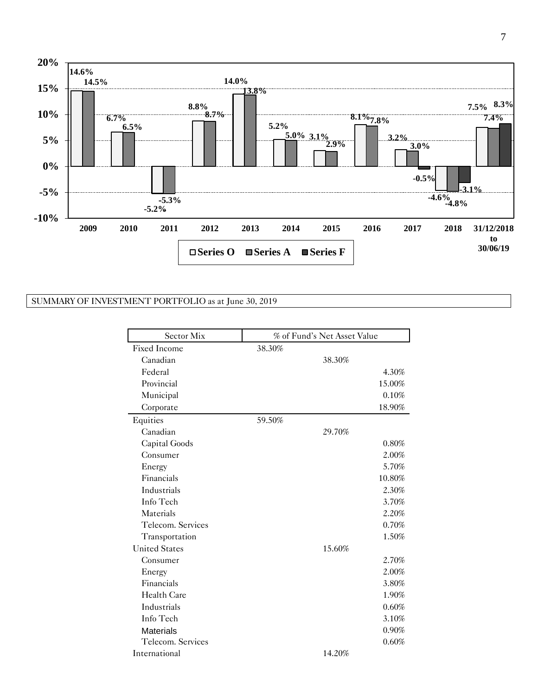

# SUMMARY OF INVESTMENT PORTFOLIO as at June 30, 2019

| Sector Mix           | % of Fund's Net Asset Value |        |
|----------------------|-----------------------------|--------|
| <b>Fixed Income</b>  | 38.30%                      |        |
| Canadian             | 38.30%                      |        |
| Federal              |                             | 4.30%  |
| Provincial           |                             | 15.00% |
| Municipal            |                             | 0.10%  |
| Corporate            |                             | 18.90% |
| Equities             | 59.50%                      |        |
| Canadian             | 29.70%                      |        |
| Capital Goods        |                             | 0.80%  |
| Consumer             |                             | 2.00%  |
| Energy               |                             | 5.70%  |
| Financials           |                             | 10.80% |
| Industrials          |                             | 2.30%  |
| Info Tech            |                             | 3.70%  |
| Materials            |                             | 2.20%  |
| Telecom. Services    |                             | 0.70%  |
| Transportation       |                             | 1.50%  |
| <b>United States</b> | 15.60%                      |        |
| Consumer             |                             | 2.70%  |
| Energy               |                             | 2.00%  |
| Financials           |                             | 3.80%  |
| <b>Health Care</b>   |                             | 1.90%  |
| Industrials          |                             | 0.60%  |
| Info Tech            |                             | 3.10%  |
| <b>Materials</b>     |                             | 0.90%  |
| Telecom. Services    |                             | 0.60%  |
| International        | 14.20%                      |        |